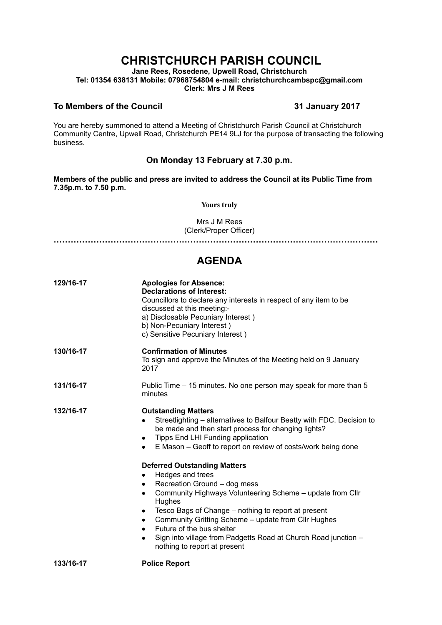# **CHRISTCHURCH PARISH COUNCIL**

**Jane Rees, Rosedene, Upwell Road, Christchurch Tel: 01354 638131 Mobile: 07968754804 e-mail: christchurchcambspc@gmail.com Clerk: Mrs J M Rees**

### **To Members of the Council 31 January 2017**

You are hereby summoned to attend a Meeting of Christchurch Parish Council at Christchurch Community Centre, Upwell Road, Christchurch PE14 9LJ for the purpose of transacting the following business.

## **On Monday 13 February at 7.30 p.m.**

**Members of the public and press are invited to address the Council at its Public Time from 7.35p.m. to 7.50 p.m.** 

**Yours truly**

Mrs J M Rees (Clerk/Proper Officer)

**……………………………………………………………………………………………………**

## **AGENDA**

| 129/16-17 | <b>Apologies for Absence:</b><br><b>Declarations of Interest:</b><br>Councillors to declare any interests in respect of any item to be<br>discussed at this meeting:-<br>a) Disclosable Pecuniary Interest)<br>b) Non-Pecuniary Interest)<br>c) Sensitive Pecuniary Interest)                                                                                                                                                                                  |
|-----------|----------------------------------------------------------------------------------------------------------------------------------------------------------------------------------------------------------------------------------------------------------------------------------------------------------------------------------------------------------------------------------------------------------------------------------------------------------------|
| 130/16-17 | <b>Confirmation of Minutes</b><br>To sign and approve the Minutes of the Meeting held on 9 January<br>2017                                                                                                                                                                                                                                                                                                                                                     |
| 131/16-17 | Public Time – 15 minutes. No one person may speak for more than 5<br>minutes                                                                                                                                                                                                                                                                                                                                                                                   |
| 132/16-17 | <b>Outstanding Matters</b><br>Streetlighting – alternatives to Balfour Beatty with FDC. Decision to<br>be made and then start process for changing lights?<br>Tipps End LHI Funding application<br>٠<br>E Mason - Geoff to report on review of costs/work being done<br>٠                                                                                                                                                                                      |
|           | <b>Deferred Outstanding Matters</b><br>Hedges and trees<br>٠<br>Recreation Ground - dog mess<br>٠<br>Community Highways Volunteering Scheme - update from Cllr<br>٠<br>Hughes<br>Tesco Bags of Change – nothing to report at present<br>٠<br>Community Gritting Scheme - update from Cllr Hughes<br>٠<br>Future of the bus shelter<br>$\bullet$<br>Sign into village from Padgetts Road at Church Road junction -<br>$\bullet$<br>nothing to report at present |
| 133/16-17 | <b>Police Report</b>                                                                                                                                                                                                                                                                                                                                                                                                                                           |